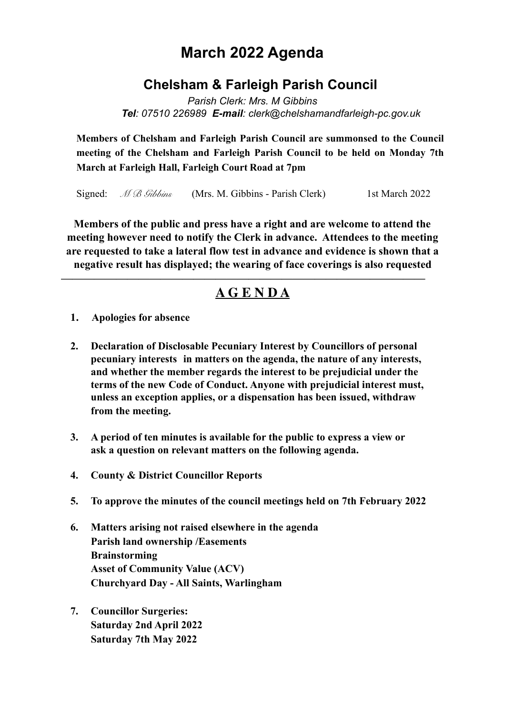## **March 2022 Agenda**

## **Chelsham & Farleigh Parish Council**

*Parish Clerk: Mrs. M Gibbins Tel: 07510 226989 E-mail: clerk@chelshamandfarleigh-pc.gov.uk* 

**Members of Chelsham and Farleigh Parish Council are summonsed to the Council meeting of the Chelsham and Farleigh Parish Council to be held on Monday 7th March at Farleigh Hall, Farleigh Court Road at 7pm**

Signed: *M B Gibbins* (Mrs. M. Gibbins - Parish Clerk) 1st March 2022

**Members of the public and press have a right and are welcome to attend the meeting however need to notify the Clerk in advance. Attendees to the meeting are requested to take a lateral flow test in advance and evidence is shown that a negative result has displayed; the wearing of face coverings is also requested** 

## **A G E N D A**

**—————————————————————————————————**

- **1. Apologies for absence**
- **2. Declaration of Disclosable Pecuniary Interest by Councillors of personal pecuniary interests in matters on the agenda, the nature of any interests, and whether the member regards the interest to be prejudicial under the terms of the new Code of Conduct. Anyone with prejudicial interest must, unless an exception applies, or a dispensation has been issued, withdraw from the meeting.**
- **3. A period of ten minutes is available for the public to express a view or ask a question on relevant matters on the following agenda.**
- **4. County & District Councillor Reports**
- **5. To approve the minutes of the council meetings held on 7th February 2022**
- **6. Matters arising not raised elsewhere in the agenda Parish land ownership /Easements Brainstorming Asset of Community Value (ACV) Churchyard Day - All Saints, Warlingham**
- **7. Councillor Surgeries: Saturday 2nd April 2022 Saturday 7th May 2022**